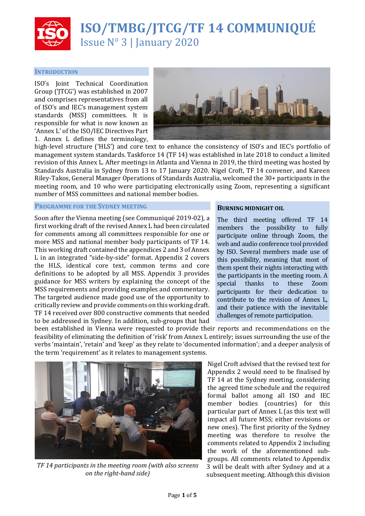

# **ISO/TMBG/JTCG/TF 14 COMMUNIQUÉ** Issue N° 3 | January 2020

# **INTRODUCTION**

ISO's Joint Technical Coordination Group ('JTCG') was established in 2007 and comprises representatives from all of ISO's and IEC's management system standards (MSS) committees. It is responsible for what is now known as 'Annex L' of the ISO/IEC Directives Part 1. Annex L defines the terminology,



high-level structure ('HLS') and core text to enhance the consistency of ISO's and IEC's portfolio of management system standards. Taskforce 14 (TF 14) was established in late 2018 to conduct a limited revision of this Annex L. After meetings in Atlanta and Vienna in 2019, the third meeting was hosted by Standards Australia in Sydney from 13 to 17 January 2020. Nigel Croft, TF 14 convener, and Kareen Riley-Takos, General Manager Operations of Standards Australia, welcomed the 30+ participants in the meeting room, and 10 who were participating electronically using Zoom, representing a significant number of MSS committees and national member bodies.

#### **PROGRAMME FOR THE SYDNEY MEETING**

Soon after the Vienna meeting (see Communiqué 2019-02), a first working draft of the revised Annex L had been circulated for comments among all committees responsible for one or more MSS and national member body participants of TF 14. This working draft contained the appendices 2 and 3 of Annex L in an integrated "side-by-side" format. Appendix 2 covers the HLS, identical core text, common terms and core definitions to be adopted by all MSS. Appendix 3 provides guidance for MSS writers by explaining the concept of the MSS requirements and providing examples and commentary. The targeted audience made good use of the opportunity to critically review and provide comments on this working draft. TF 14 received over 800 constructive comments that needed to be addressed in Sydney. In addition, sub-groups that had

#### **BURNING MIDNIGHT OIL**

The third meeting offered TF 14 members the possibility to fully participate online through Zoom, the web and audio conference tool provided by ISO. Several members made use of this possibility, meaning that most of them spent their nights interacting with the participants in the meeting room. A special thanks to these Zoom participants for their dedication to contribute to the revision of Annex L, and their patience with the inevitable challenges of remote participation.

been established in Vienna were requested to provide their reports and recommendations on the feasibility of eliminating the definition of 'risk' from Annex L entirely; issues surrounding the use of the verbs 'maintain', 'retain' and 'keep' as they relate to 'documented information'; and a deeper analysis of the term 'requirement' as it relates to management systems.



*TF 14 participants in the meeting room (with also screens on the right-hand side)*

Nigel Croft advised that the revised text for Appendix 2 would need to be finalised by TF 14 at the Sydney meeting, considering the agreed time schedule and the required formal ballot among all ISO and IEC member bodies (countries) for this particular part of Annex L (as this text will impact all future MSS; either revisions or new ones). The first priority of the Sydney meeting was therefore to resolve the comments related to Appendix 2 including the work of the aforementioned subgroups. All comments related to Appendix 3 will be dealt with after Sydney and at a subsequent meeting. Although this division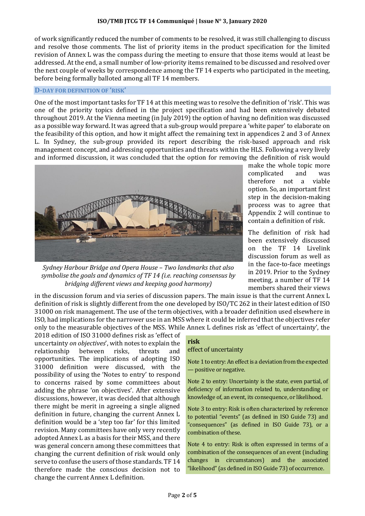of work significantly reduced the number of comments to be resolved, it was still challenging to discuss and resolve those comments. The list of priority items in the product specification for the limited revision of Annex L was the compass during the meeting to ensure that those items would at least be addressed. At the end, a small number of low-priority items remained to be discussed and resolved over the next couple of weeks by correspondence among the TF 14 experts who participated in the meeting, before being formally balloted among all TF 14 members.

#### **D-DAY FOR DEFINITION OF 'RISK'**

One of the most important tasks for TF 14 at this meeting was to resolve the definition of 'risk'. This was one of the priority topics defined in the project specification and had been extensively debated throughout 2019. At the Vienna meeting (in July 2019) the option of having no definition was discussed as a possible way forward. It was agreed that a sub-group would prepare a 'white paper' to elaborate on the feasibility of this option, and how it might affect the remaining text in appendices 2 and 3 of Annex L. In Sydney, the sub-group provided its report describing the risk-based approach and risk management concept, and addressing opportunities and threats within the HLS. Following a very lively and informed discussion, it was concluded that the option for removing the definition of risk would



*Sydney Harbour Bridge and Opera House – Two landmarks that also symbolise the goals and dynamics of TF 14 (i.e. reaching consensus by bridging different views and keeping good harmony)* 

make the whole topic more complicated and was therefore not a viable option. So, an important first step in the decision-making process was to agree that Appendix 2 will continue to contain a definition of risk.

The definition of risk had been extensively discussed on the TF 14 Livelink discussion forum as well as in the face-to-face meetings in 2019. Prior to the Sydney meeting, a number of TF 14 members shared their views

in the discussion forum and via series of discussion papers. The main issue is that the current Annex L definition of risk is slightly different from the one developed by ISO/TC 262 in their latest edition of ISO 31000 on risk management. The use of the term objectives, with a broader definition used elsewhere in ISO, had implications for the narrower use in an MSS where it could be inferred that the objectives refer only to the measurable objectives of the MSS. While Annex L defines risk as 'effect of uncertainty', the

2018 edition of ISO 31000 defines risk as 'effect of uncertainty *on objectives*', with notes to explain the relationship between risks, threats and opportunities. The implications of adopting ISO 31000 definition were discussed, with the possibility of using the 'Notes to entry' to respond to concerns raised by some committees about adding the phrase 'on objectives'. After extensive discussions, however, it was decided that although there might be merit in agreeing a single aligned definition in future, changing the current Annex L definition would be a 'step too far' for this limited revision. Many committees have only very recently adopted Annex L as a basis for their MSS, and there was general concern among these committees that changing the current definition of risk would only serve to confuse the users of those standards. TF 14 therefore made the conscious decision not to change the current Annex L definition.

#### **risk**

# effect of uncertainty

Note 1 to entry: An effect is a deviation from the expected — positive or negative.

Note 2 to entry: Uncertainty is the state, even partial, of deficiency of information related to, understanding or knowledge of, an event, its consequence, or likelihood.

Note 3 to entry: Risk is often characterized by reference to potential "events" (as defined in ISO Guide 73) and "consequences" (as defined in ISO Guide 73), or a combination of these.

Note 4 to entry: Risk is often expressed in terms of a combination of the consequences of an event (including changes in circumstances) and the associated "likelihood" (as defined in ISO Guide 73) of occurrence.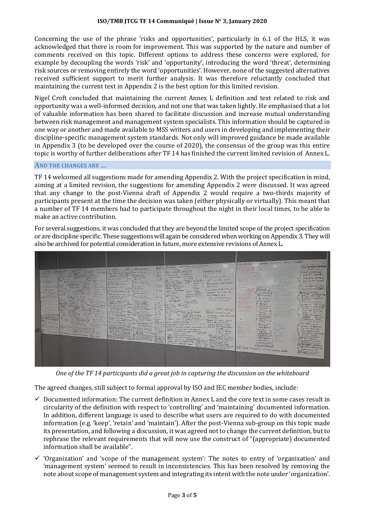#### **ISO/TMB JTCG TF 14 Communiqué | Issue N° 3, January 2020**

Concerning the use of the phrase 'risks and opportunities', particularly in 6.1 of the HLS, it was acknowledged that there is room for improvement. This was supported by the nature and number of comments received on this topic. Different options to address these concerns were explored, for example by decoupling the words 'risk' and 'opportunity', introducing the word 'threat', determining risk sources or removing entirely the word 'opportunities'. However, none of the suggested alternatives received sufficient support to merit further analysis. It was therefore reluctantly concluded that maintaining the current text in Appendix 2 is the best option for this limited revision.

Nigel Croft concluded that maintaining the current Annex L definition and text related to risk and opportunity was a well-informed decision, and not one that was taken lightly. He emphasised that a lot of valuable information has been shared to facilitate discussion and increase mutual understanding between risk management and management system specialists. This information should be captured in one way or another and made available to MSS writers and users in developing and implementing their discipline-specific management system standards. Not only will improved guidance be made available in Appendix 3 (to be developed over the course of 2020), the consensus of the group was this entire topic is worthy of further deliberations after TF 14 has finished the current limited revision of Annex L.

#### **AND THE CHANGES ARE …**

TF 14 welcomed all suggestions made for amending Appendix 2. With the project specification in mind, aiming at a limited revision, the suggestions for amending Appendix 2 were discussed. It was agreed that any change to the post-Vienna draft of Appendix 2 would require a two-thirds majority of participants present at the time the decision was taken (either physically or virtually). This meant that a number of TF 14 members had to participate throughout the night in their local times, to be able to make an active contribution.

For several suggestions, it was concluded that they are beyond the limited scope of the project specification or are discipline specific. These suggestions will again be considered when working on Appendix 3. They will also be archived for potential consideration in future, more extensive revisions of Annex L.



*One of the TF 14 participants did a great job in capturing the discussion on the whiteboard*

The agreed changes, still subject to formal approval by ISO and IEC member bodies, include:

- $\checkmark$  Documented information: The current definition in Annex L and the core text in some cases result in circularity of the definition with respect to 'controlling' and 'maintaining' documented information. In addition, different language is used to describe what users are required to do with documented information (e.g. 'keep', 'retain' and 'maintain'). After the post-Vienna sub-group on this topic made its presentation, and following a discussion, it was agreed not to change the current definition, but to rephrase the relevant requirements that will now use the construct of "(appropriate) documented information shall be available".
- ✓ 'Organization' and 'scope of the management system': The notes to entry of 'organization' and 'management system' seemed to result in inconsistencies. This has been resolved by removing the note about scope of management system and integrating its intent with the note under 'organization'.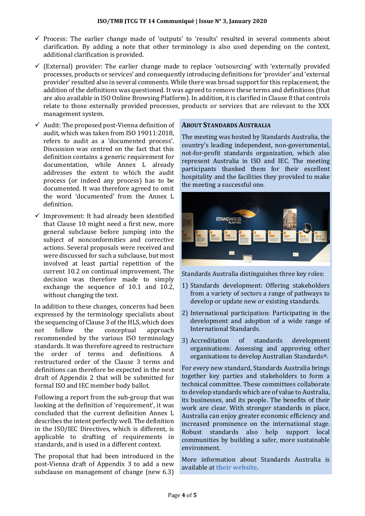- $\checkmark$  Process: The earlier change made of 'outputs' to 'results' resulted in several comments about clarification. By adding a note that other terminology is also used depending on the context, additional clarification is provided.
- $\checkmark$  (External) provider: The earlier change made to replace 'outsourcing' with 'externally provided processes, products or services' and consequently introducing definitions for 'provider' and 'external provider' resulted also in several comments. While there was broad support for this replacement, the addition of the definitions was questioned. It was agreed to remove these terms and definitions (that are also available in ISO Online Browsing Platform). In addition, it is clarified in Clause 8 that controls relate to those externally provided processes, products or services that are relevant to the XXX management system.
- $\checkmark$  Audit: The proposed post-Vienna definition of audit, which was taken from ISO 19011:2018, refers to audit as a 'documented process'. Discussion was centred on the fact that this definition contains a generic requirement for documentation, while Annex L already addresses the extent to which the audit process (or indeed any process) has to be documented. It was therefore agreed to omit the word 'documented' from the Annex L definition.
- $\checkmark$  Improvement: It had already been identified that Clause 10 might need a first new, more general subclause before jumping into the subject of nonconformities and corrective actions. Several proposals were received and were discussed for such a subclause, but most involved at least partial repetition of the current 10.2 on continual improvement. The decision was therefore made to simply exchange the sequence of 10.1 and 10.2, without changing the text.

In addition to these changes, concerns had been expressed by the terminology specialists about the sequencing of Clause 3 of the HLS, which does not follow the conceptual approach recommended by the various ISO terminology standards. It was therefore agreed to restructure the order of terms and definitions. A restructured order of the Clause 3 terms and definitions can therefore be expected in the next draft of Appendix 2 that will be submitted for formal ISO and IEC member body ballot.

Following a report from the sub-group that was looking at the definition of 'requirement', it was concluded that the current definition Annex L describes the intent perfectly well. The definition in the ISO/IEC Directives, which is different, is applicable to drafting of requirements in standards, and is used in a different context.

The proposal that had been introduced in the post-Vienna draft of Appendix 3 to add a new subclause on management of change (new 6.3)

# **ABOUT STANDARDS AUSTRALIA**

The meeting was hosted by Standards Australia, the country's leading independent, non-governmental, not-for-profit standards organization, which also represent Australia in ISO and IEC. The meeting participants thanked them for their excellent hospitality and the facilities they provided to make the meeting a successful one.



Standards Australia distinguishes three key roles:

- 1) Standards development: Offering stakeholders from a variety of sectors a range of pathways to develop or update new or existing standards.
- 2) International participation: Participating in the development and adoption of a wide range of International Standards.
- 3) Accreditation of standards development organisations: Assessing and approving other organisations to develop Australian Standards®.

For every new standard, Standards Australia brings together key parties and stakeholders to form a technical committee. These committees collaborate to develop standards which are of value to Australia, its businesses, and its people. The benefits of their work are clear. With stronger standards in place, Australia can enjoy greater economic efficiency and increased prominence on the international stage. Robust standards also help support local communities by building a safer, more sustainable environment.

More information about Standards Australia is available at **[their website](https://www.standards.org.au/)**.